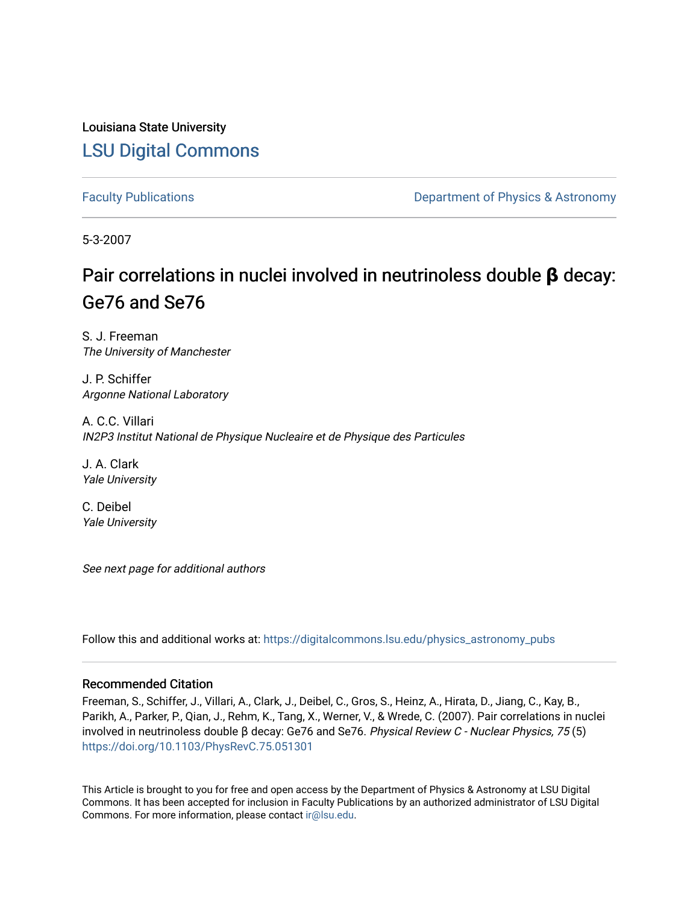Louisiana State University [LSU Digital Commons](https://digitalcommons.lsu.edu/)

[Faculty Publications](https://digitalcommons.lsu.edu/physics_astronomy_pubs) **Exercise 2 and Table 2 and Table 2 and Table 2 and Table 2 and Table 2 and Table 2 and Table 2 and Table 2 and Table 2 and Table 2 and Table 2 and Table 2 and Table 2 and Table 2 and Table 2 and Table** 

5-3-2007

# Pair correlations in nuclei involved in neutrinoless double **β** decay: Ge76 and Se76

S. J. Freeman The University of Manchester

J. P. Schiffer Argonne National Laboratory

A. C.C. Villari IN2P3 Institut National de Physique Nucleaire et de Physique des Particules

J. A. Clark Yale University

C. Deibel Yale University

See next page for additional authors

Follow this and additional works at: [https://digitalcommons.lsu.edu/physics\\_astronomy\\_pubs](https://digitalcommons.lsu.edu/physics_astronomy_pubs?utm_source=digitalcommons.lsu.edu%2Fphysics_astronomy_pubs%2F1340&utm_medium=PDF&utm_campaign=PDFCoverPages) 

## Recommended Citation

Freeman, S., Schiffer, J., Villari, A., Clark, J., Deibel, C., Gros, S., Heinz, A., Hirata, D., Jiang, C., Kay, B., Parikh, A., Parker, P., Qian, J., Rehm, K., Tang, X., Werner, V., & Wrede, C. (2007). Pair correlations in nuclei involved in neutrinoless double β decay: Ge76 and Se76. Physical Review C - Nuclear Physics, 75 (5) <https://doi.org/10.1103/PhysRevC.75.051301>

This Article is brought to you for free and open access by the Department of Physics & Astronomy at LSU Digital Commons. It has been accepted for inclusion in Faculty Publications by an authorized administrator of LSU Digital Commons. For more information, please contact [ir@lsu.edu](mailto:ir@lsu.edu).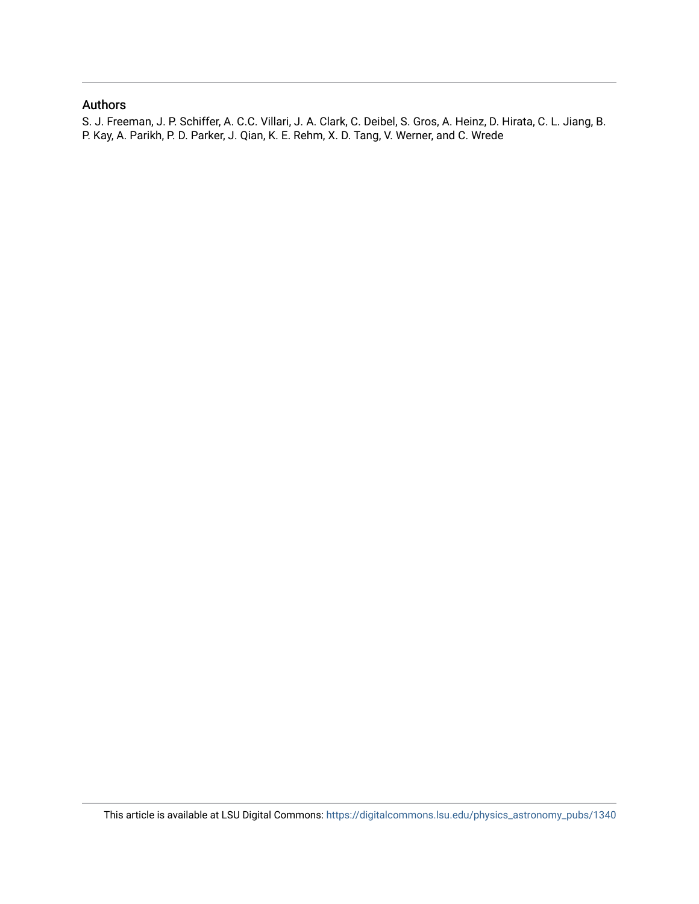## Authors

S. J. Freeman, J. P. Schiffer, A. C.C. Villari, J. A. Clark, C. Deibel, S. Gros, A. Heinz, D. Hirata, C. L. Jiang, B. P. Kay, A. Parikh, P. D. Parker, J. Qian, K. E. Rehm, X. D. Tang, V. Werner, and C. Wrede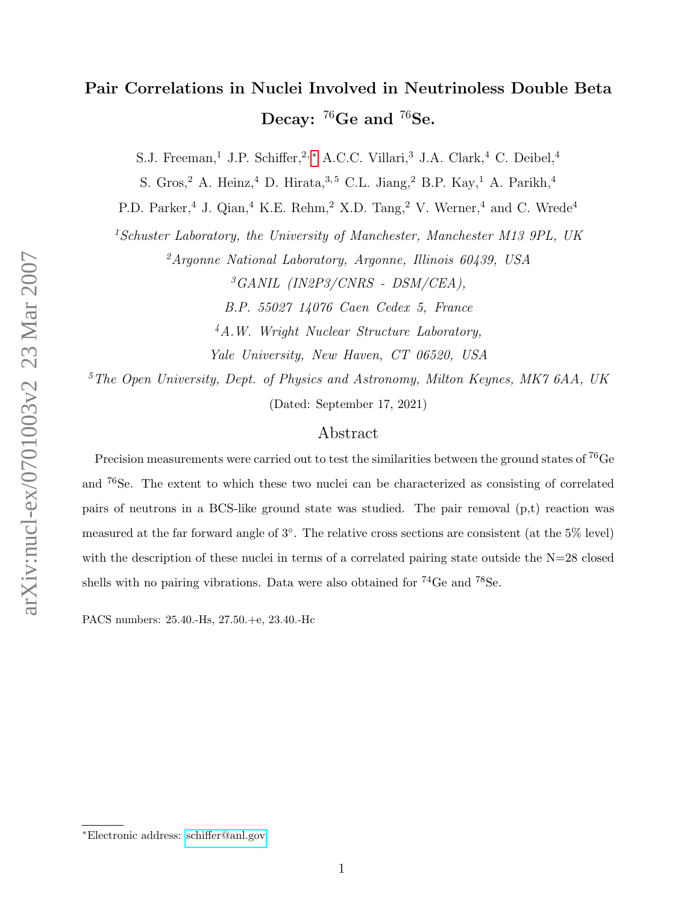## Pair Correlations in Nuclei Involved in Neutrinoless Double Beta Decay:  $^{76}$ Ge and  $^{76}$ Se.

S.J. Freeman,<sup>1</sup> J.P. Schiffer,<sup>2,\*</sup> A.C.C. Villari,<sup>3</sup> J.A. Clark,<sup>4</sup> C. Deibel,<sup>4</sup>

S. Gros,<sup>2</sup> A. Heinz,<sup>4</sup> D. Hirata,<sup>3,5</sup> C.L. Jiang,<sup>2</sup> B.P. Kay,<sup>1</sup> A. Parikh,<sup>4</sup>

P.D. Parker,<sup>4</sup> J. Qian,<sup>4</sup> K.E. Rehm,<sup>2</sup> X.D. Tang,<sup>2</sup> V. Werner,<sup>4</sup> and C. Wrede<sup>4</sup>

<sup>1</sup>Schuster Laboratory, the University of Manchester, Manchester M13 9PL, UK

 ${}^2$ Argonne National Laboratory, Argonne, Illinois 60439, USA  ${}^{3}GANIL$  (IN2P3/CNRS - DSM/CEA),

B.P. 55027 14076 Caen Cedex 5, France

<sup>4</sup>A.W. Wright Nuclear Structure Laboratory,

Yale University, New Haven, CT 06520, USA

 ${}^5$ The Open University, Dept. of Physics and Astronomy, Milton Keynes, MK7 6AA, UK (Dated: September 17, 2021)

### Abstract

Precision measurements were carried out to test the similarities between the ground states of <sup>76</sup>Ge and <sup>76</sup>Se. The extent to which these two nuclei can be characterized as consisting of correlated pairs of neutrons in a BCS-like ground state was studied. The pair removal (p,t) reaction was measured at the far forward angle of 3◦ . The relative cross sections are consistent (at the 5% level) with the description of these nuclei in terms of a correlated pairing state outside the N=28 closed shells with no pairing vibrations. Data were also obtained for <sup>74</sup>Ge and <sup>78</sup>Se.

PACS numbers: 25.40.-Hs, 27.50.+e, 23.40.-Hc

<span id="page-2-0"></span><sup>∗</sup>Electronic address: [schiffer@anl.gov](mailto:schiffer@anl.gov)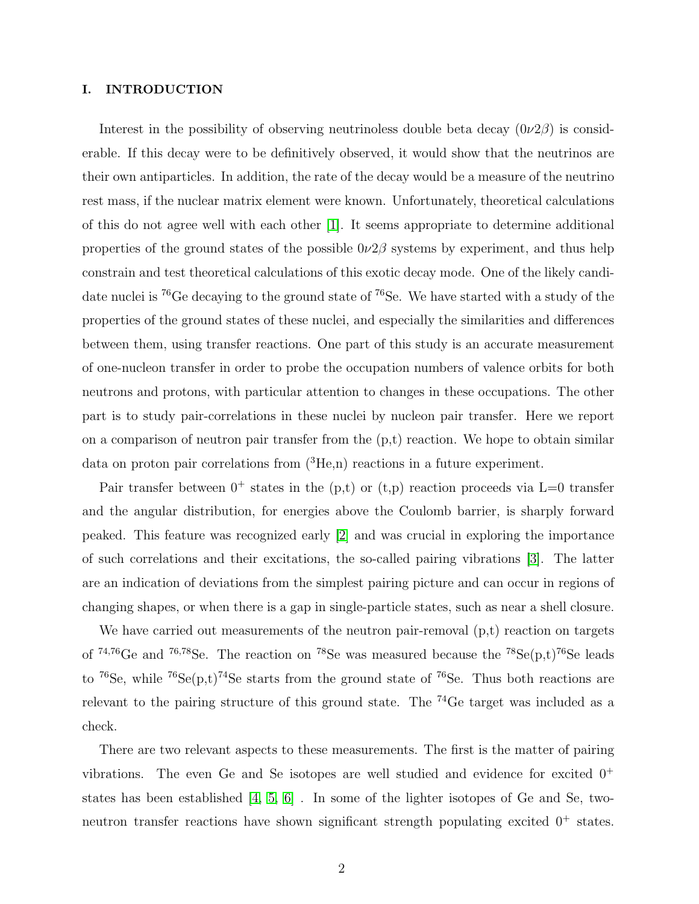#### I. INTRODUCTION

Interest in the possibility of observing neutrinoless double beta decay  $(0\nu2\beta)$  is considerable. If this decay were to be definitively observed, it would show that the neutrinos are their own antiparticles. In addition, the rate of the decay would be a measure of the neutrino rest mass, if the nuclear matrix element were known. Unfortunately, theoretical calculations of this do not agree well with each other [\[1\]](#page-8-0). It seems appropriate to determine additional properties of the ground states of the possible  $0\nu2\beta$  systems by experiment, and thus help constrain and test theoretical calculations of this exotic decay mode. One of the likely candidate nuclei is <sup>76</sup>Ge decaying to the ground state of <sup>76</sup>Se. We have started with a study of the properties of the ground states of these nuclei, and especially the similarities and differences between them, using transfer reactions. One part of this study is an accurate measurement of one-nucleon transfer in order to probe the occupation numbers of valence orbits for both neutrons and protons, with particular attention to changes in these occupations. The other part is to study pair-correlations in these nuclei by nucleon pair transfer. Here we report on a comparison of neutron pair transfer from the  $(p,t)$  reaction. We hope to obtain similar data on proton pair correlations from  $({}^{3}He,n)$  reactions in a future experiment.

Pair transfer between  $0^+$  states in the (p,t) or (t,p) reaction proceeds via L=0 transfer and the angular distribution, for energies above the Coulomb barrier, is sharply forward peaked. This feature was recognized early [\[2\]](#page-8-1) and was crucial in exploring the importance of such correlations and their excitations, the so-called pairing vibrations [\[3\]](#page-8-2). The latter are an indication of deviations from the simplest pairing picture and can occur in regions of changing shapes, or when there is a gap in single-particle states, such as near a shell closure.

We have carried out measurements of the neutron pair-removal  $(p,t)$  reaction on targets of  $74,76$ Ge and  $76,78$ Se. The reaction on  $78$ Se was measured because the  $78$ Se(p,t)<sup>76</sup>Se leads to  $^{76}$ Se, while  $^{76}$ Se(p,t)<sup>74</sup>Se starts from the ground state of  $^{76}$ Se. Thus both reactions are relevant to the pairing structure of this ground state. The <sup>74</sup>Ge target was included as a check.

There are two relevant aspects to these measurements. The first is the matter of pairing vibrations. The even Ge and Se isotopes are well studied and evidence for excited  $0^+$ states has been established [\[4,](#page-8-3) [5,](#page-8-4) [6\]](#page-8-5) . In some of the lighter isotopes of Ge and Se, twoneutron transfer reactions have shown significant strength populating excited  $0^+$  states.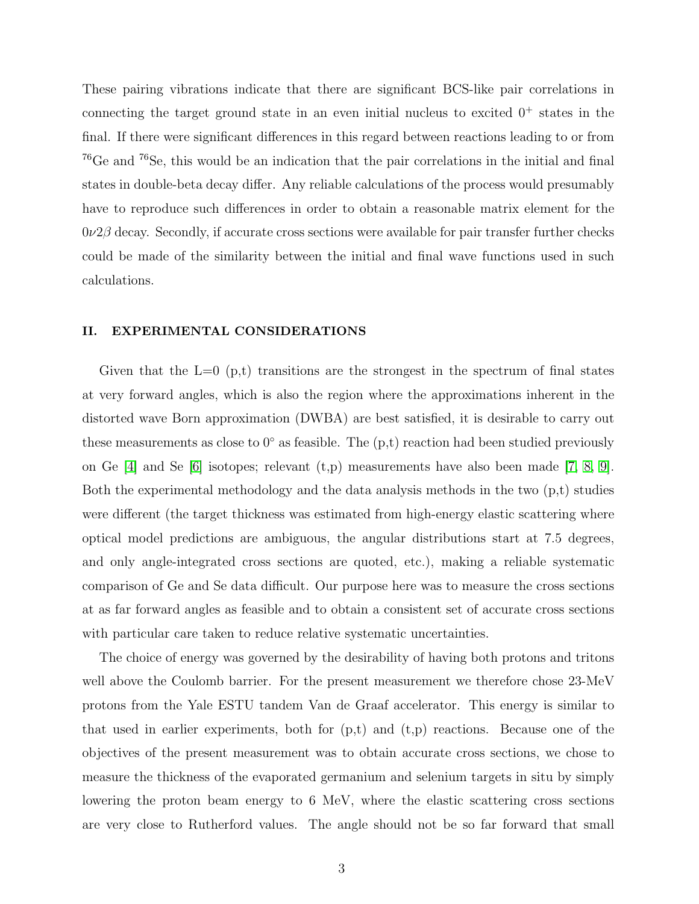These pairing vibrations indicate that there are significant BCS-like pair correlations in connecting the target ground state in an even initial nucleus to excited  $0^+$  states in the final. If there were significant differences in this regard between reactions leading to or from <sup>76</sup>Ge and <sup>76</sup>Se, this would be an indication that the pair correlations in the initial and final states in double-beta decay differ. Any reliable calculations of the process would presumably have to reproduce such differences in order to obtain a reasonable matrix element for the  $0\nu$ 2 $\beta$  decay. Secondly, if accurate cross sections were available for pair transfer further checks could be made of the similarity between the initial and final wave functions used in such calculations.

#### II. EXPERIMENTAL CONSIDERATIONS

Given that the  $L=0$  (p,t) transitions are the strongest in the spectrum of final states at very forward angles, which is also the region where the approximations inherent in the distorted wave Born approximation (DWBA) are best satisfied, it is desirable to carry out these measurements as close to  $0°$  as feasible. The  $(p,t)$  reaction had been studied previously on Ge  $[4]$  and Se  $[6]$  isotopes; relevant  $(t,p)$  measurements have also been made  $[7, 8, 9]$  $[7, 8, 9]$  $[7, 8, 9]$ . Both the experimental methodology and the data analysis methods in the two (p,t) studies were different (the target thickness was estimated from high-energy elastic scattering where optical model predictions are ambiguous, the angular distributions start at 7.5 degrees, and only angle-integrated cross sections are quoted, etc.), making a reliable systematic comparison of Ge and Se data difficult. Our purpose here was to measure the cross sections at as far forward angles as feasible and to obtain a consistent set of accurate cross sections with particular care taken to reduce relative systematic uncertainties.

The choice of energy was governed by the desirability of having both protons and tritons well above the Coulomb barrier. For the present measurement we therefore chose 23-MeV protons from the Yale ESTU tandem Van de Graaf accelerator. This energy is similar to that used in earlier experiments, both for  $(p,t)$  and  $(t,p)$  reactions. Because one of the objectives of the present measurement was to obtain accurate cross sections, we chose to measure the thickness of the evaporated germanium and selenium targets in situ by simply lowering the proton beam energy to 6 MeV, where the elastic scattering cross sections are very close to Rutherford values. The angle should not be so far forward that small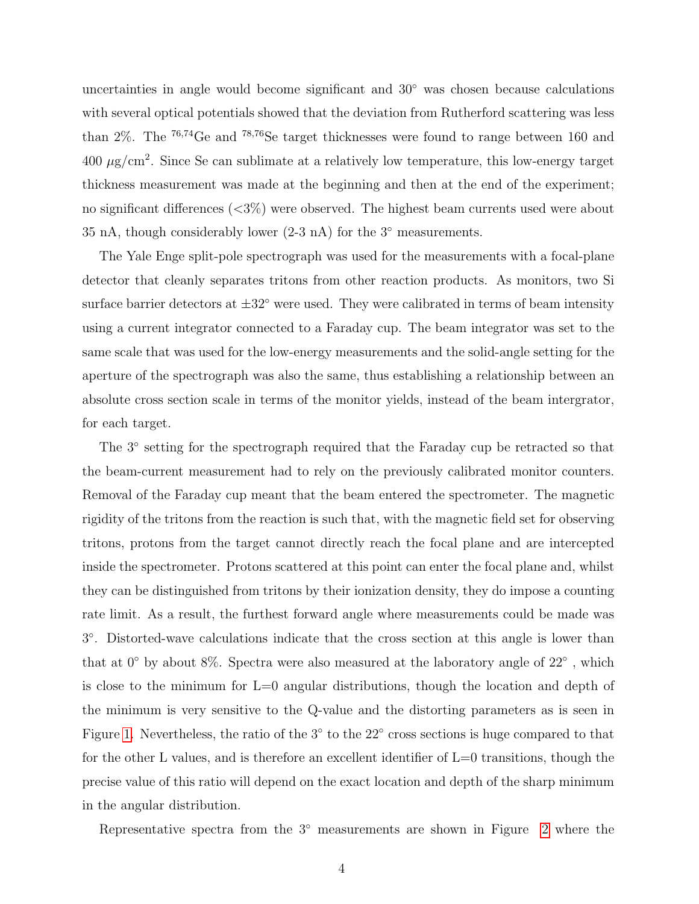uncertainties in angle would become significant and 30<sup>°</sup> was chosen because calculations with several optical potentials showed that the deviation from Rutherford scattering was less than 2%. The <sup>76</sup>,<sup>74</sup>Ge and <sup>78</sup>,<sup>76</sup>Se target thicknesses were found to range between 160 and  $400 \mu\text{g/cm}^2$ . Since Se can sublimate at a relatively low temperature, this low-energy target thickness measurement was made at the beginning and then at the end of the experiment; no significant differences (<3%) were observed. The highest beam currents used were about 35 nA, though considerably lower  $(2-3 n)$  for the 3 $\degree$  measurements.

The Yale Enge split-pole spectrograph was used for the measurements with a focal-plane detector that cleanly separates tritons from other reaction products. As monitors, two Si surface barrier detectors at  $\pm 32^{\circ}$  were used. They were calibrated in terms of beam intensity using a current integrator connected to a Faraday cup. The beam integrator was set to the same scale that was used for the low-energy measurements and the solid-angle setting for the aperture of the spectrograph was also the same, thus establishing a relationship between an absolute cross section scale in terms of the monitor yields, instead of the beam intergrator, for each target.

The 3<sup>°</sup> setting for the spectrograph required that the Faraday cup be retracted so that the beam-current measurement had to rely on the previously calibrated monitor counters. Removal of the Faraday cup meant that the beam entered the spectrometer. The magnetic rigidity of the tritons from the reaction is such that, with the magnetic field set for observing tritons, protons from the target cannot directly reach the focal plane and are intercepted inside the spectrometer. Protons scattered at this point can enter the focal plane and, whilst they can be distinguished from tritons by their ionization density, they do impose a counting rate limit. As a result, the furthest forward angle where measurements could be made was 3 ◦ . Distorted-wave calculations indicate that the cross section at this angle is lower than that at  $0°$  by about 8%. Spectra were also measured at the laboratory angle of  $22°$ , which is close to the minimum for L=0 angular distributions, though the location and depth of the minimum is very sensitive to the Q-value and the distorting parameters as is seen in Figure [1.](#page-9-0) Nevertheless, the ratio of the 3<sup>°</sup> to the 22<sup>°</sup> cross sections is huge compared to that for the other L values, and is therefore an excellent identifier of L=0 transitions, though the precise value of this ratio will depend on the exact location and depth of the sharp minimum in the angular distribution.

Representative spectra from the 3◦ measurements are shown in Figure [2](#page-10-0) where the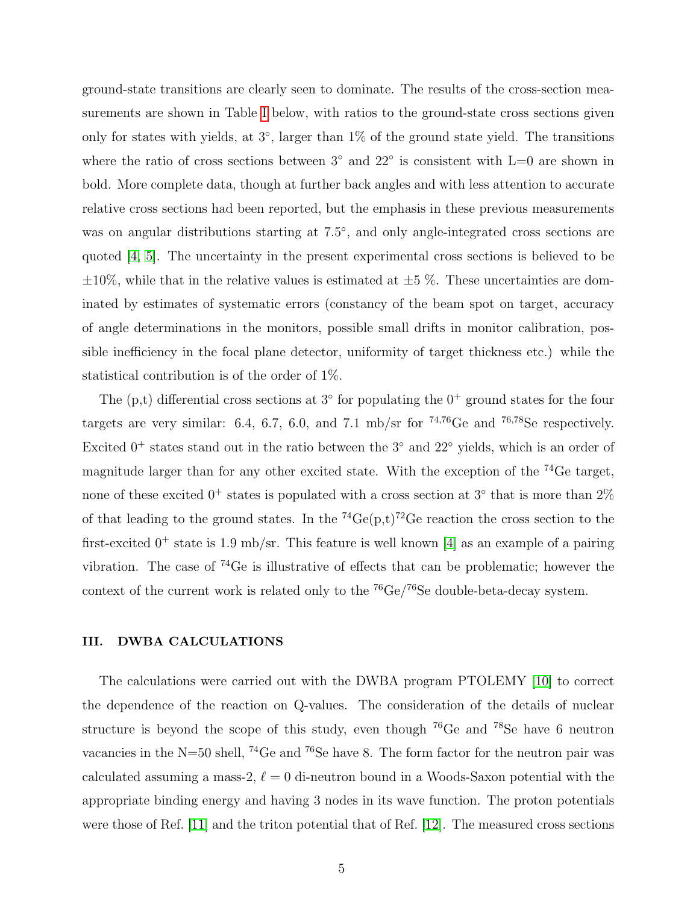ground-state transitions are clearly seen to dominate. The results of the cross-section measurements are shown in Table [I](#page-12-0) below, with ratios to the ground-state cross sections given only for states with yields, at 3◦ , larger than 1% of the ground state yield. The transitions where the ratio of cross sections between  $3°$  and  $22°$  is consistent with L=0 are shown in bold. More complete data, though at further back angles and with less attention to accurate relative cross sections had been reported, but the emphasis in these previous measurements was on angular distributions starting at 7.5°, and only angle-integrated cross sections are quoted [\[4,](#page-8-3) [5\]](#page-8-4). The uncertainty in the present experimental cross sections is believed to be  $\pm 10\%$ , while that in the relative values is estimated at  $\pm 5\%$ . These uncertainties are dominated by estimates of systematic errors (constancy of the beam spot on target, accuracy of angle determinations in the monitors, possible small drifts in monitor calibration, possible inefficiency in the focal plane detector, uniformity of target thickness etc.) while the statistical contribution is of the order of 1%.

The  $(p,t)$  differential cross sections at  $3^{\circ}$  for populating the  $0^+$  ground states for the four targets are very similar: 6.4, 6.7, 6.0, and 7.1 mb/sr for  $74,76$ Ge and  $76,78$ Se respectively. Excited  $0^+$  states stand out in the ratio between the 3 $\degree$  and 22 $\degree$  yields, which is an order of magnitude larger than for any other excited state. With the exception of the  $^{74}$ Ge target, none of these excited  $0^+$  states is populated with a cross section at  $3^{\circ}$  that is more than  $2\%$ of that leading to the ground states. In the  $^{74}Ge(p,t)^{72}Ge$  reaction the cross section to the first-excited  $0^+$  state is 1.9 mb/sr. This feature is well known [\[4\]](#page-8-3) as an example of a pairing vibration. The case of <sup>74</sup>Ge is illustrative of effects that can be problematic; however the context of the current work is related only to the  ${}^{76}Ge/{}^{76}Se$  double-beta-decay system.

#### III. DWBA CALCULATIONS

The calculations were carried out with the DWBA program PTOLEMY [\[10\]](#page-8-9) to correct the dependence of the reaction on Q-values. The consideration of the details of nuclear structure is beyond the scope of this study, even though <sup>76</sup>Ge and <sup>78</sup>Se have 6 neutron vacancies in the N=50 shell,  $^{74}$ Ge and  $^{76}$ Se have 8. The form factor for the neutron pair was calculated assuming a mass-2,  $\ell = 0$  di-neutron bound in a Woods-Saxon potential with the appropriate binding energy and having 3 nodes in its wave function. The proton potentials were those of Ref. [\[11\]](#page-8-10) and the triton potential that of Ref. [\[12\]](#page-8-11). The measured cross sections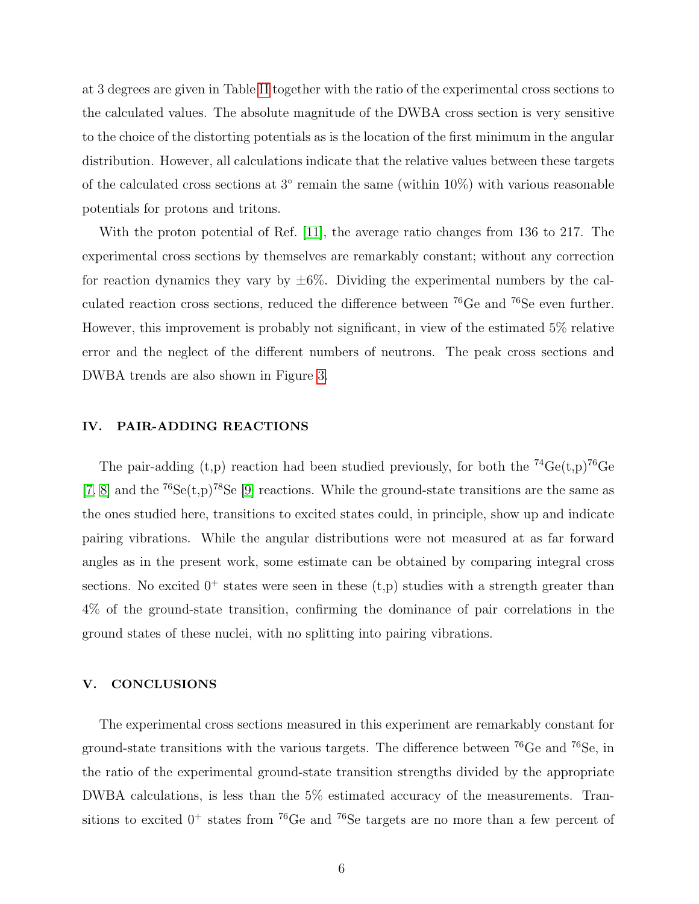at 3 degrees are given in Table [II](#page-13-0) together with the ratio of the experimental cross sections to the calculated values. The absolute magnitude of the DWBA cross section is very sensitive to the choice of the distorting potentials as is the location of the first minimum in the angular distribution. However, all calculations indicate that the relative values between these targets of the calculated cross sections at 3<sup>°</sup> remain the same (within 10%) with various reasonable potentials for protons and tritons.

With the proton potential of Ref. [\[11\]](#page-8-10), the average ratio changes from 136 to 217. The experimental cross sections by themselves are remarkably constant; without any correction for reaction dynamics they vary by  $\pm 6\%$ . Dividing the experimental numbers by the calculated reaction cross sections, reduced the difference between <sup>76</sup>Ge and <sup>76</sup>Se even further. However, this improvement is probably not significant, in view of the estimated 5% relative error and the neglect of the different numbers of neutrons. The peak cross sections and DWBA trends are also shown in Figure [3.](#page-11-0)

#### IV. PAIR-ADDING REACTIONS

The pair-adding (t,p) reaction had been studied previously, for both the  ${}^{74}Ge(t,p){}^{76}Ge$ [\[7,](#page-8-6) [8\]](#page-8-7) and the  ${}^{76}Se(t,p){}^{78}Se$  [\[9\]](#page-8-8) reactions. While the ground-state transitions are the same as the ones studied here, transitions to excited states could, in principle, show up and indicate pairing vibrations. While the angular distributions were not measured at as far forward angles as in the present work, some estimate can be obtained by comparing integral cross sections. No excited  $0^+$  states were seen in these  $(t,p)$  studies with a strength greater than 4% of the ground-state transition, confirming the dominance of pair correlations in the ground states of these nuclei, with no splitting into pairing vibrations.

#### V. CONCLUSIONS

The experimental cross sections measured in this experiment are remarkably constant for ground-state transitions with the various targets. The difference between  $^{76}$ Ge and  $^{76}$ Se, in the ratio of the experimental ground-state transition strengths divided by the appropriate DWBA calculations, is less than the 5% estimated accuracy of the measurements. Transitions to excited  $0^+$  states from <sup>76</sup>Ge and <sup>76</sup>Se targets are no more than a few percent of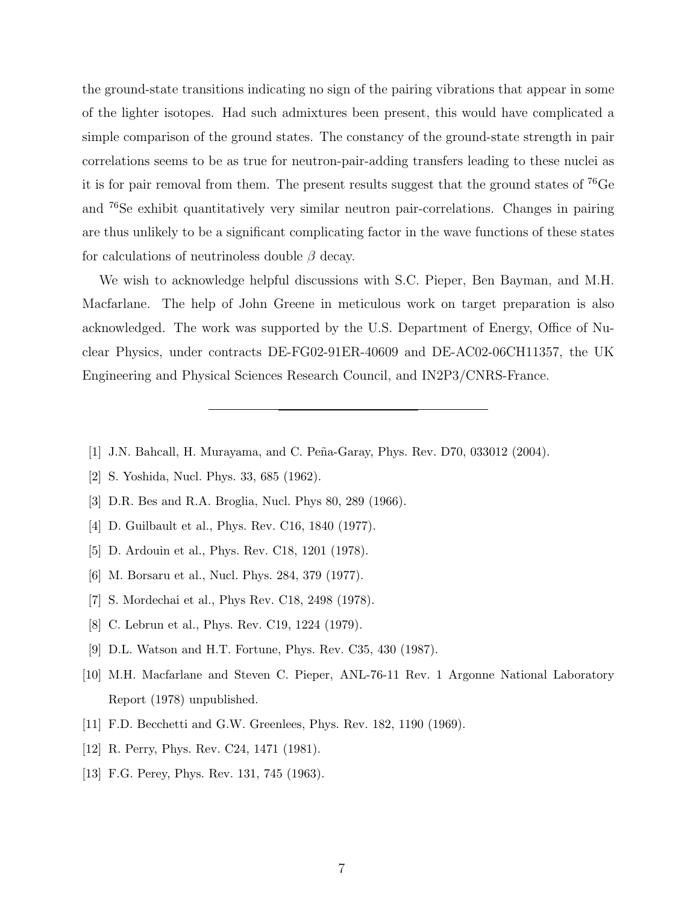the ground-state transitions indicating no sign of the pairing vibrations that appear in some of the lighter isotopes. Had such admixtures been present, this would have complicated a simple comparison of the ground states. The constancy of the ground-state strength in pair correlations seems to be as true for neutron-pair-adding transfers leading to these nuclei as it is for pair removal from them. The present results suggest that the ground states of  $^{76}Ge$ and <sup>76</sup>Se exhibit quantitatively very similar neutron pair-correlations. Changes in pairing are thus unlikely to be a significant complicating factor in the wave functions of these states for calculations of neutrinoless double  $\beta$  decay.

We wish to acknowledge helpful discussions with S.C. Pieper, Ben Bayman, and M.H. Macfarlane. The help of John Greene in meticulous work on target preparation is also acknowledged. The work was supported by the U.S. Department of Energy, Office of Nuclear Physics, under contracts DE-FG02-91ER-40609 and DE-AC02-06CH11357, the UK Engineering and Physical Sciences Research Council, and IN2P3/CNRS-France.

- <span id="page-8-1"></span><span id="page-8-0"></span>[1] J.N. Bahcall, H. Murayama, and C. Peña-Garay, Phys. Rev. D70, 033012 (2004).
- <span id="page-8-2"></span>[2] S. Yoshida, Nucl. Phys. 33, 685 (1962).
- <span id="page-8-3"></span>[3] D.R. Bes and R.A. Broglia, Nucl. Phys 80, 289 (1966).
- <span id="page-8-4"></span>[4] D. Guilbault et al., Phys. Rev. C16, 1840 (1977).
- <span id="page-8-5"></span>[5] D. Ardouin et al., Phys. Rev. C18, 1201 (1978).
- <span id="page-8-6"></span>[6] M. Borsaru et al., Nucl. Phys. 284, 379 (1977).
- <span id="page-8-7"></span>[7] S. Mordechai et al., Phys Rev. C18, 2498 (1978).
- <span id="page-8-8"></span>[8] C. Lebrun et al., Phys. Rev. C19, 1224 (1979).
- <span id="page-8-9"></span>[9] D.L. Watson and H.T. Fortune, Phys. Rev. C35, 430 (1987).
- [10] M.H. Macfarlane and Steven C. Pieper, ANL-76-11 Rev. 1 Argonne National Laboratory Report (1978) unpublished.
- <span id="page-8-11"></span><span id="page-8-10"></span>[11] F.D. Becchetti and G.W. Greenlees, Phys. Rev. 182, 1190 (1969).
- [12] R. Perry, Phys. Rev. C24, 1471 (1981).
- [13] F.G. Perey, Phys. Rev. 131, 745 (1963).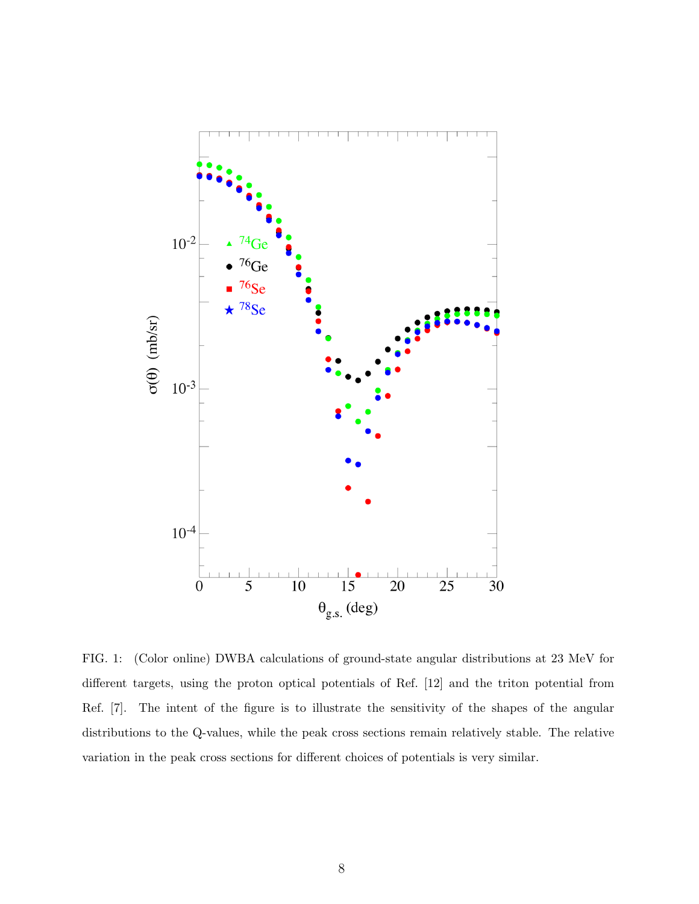

<span id="page-9-0"></span>FIG. 1: (Color online) DWBA calculations of ground-state angular distributions at 23 MeV for different targets, using the proton optical potentials of Ref. [12] and the triton potential from Ref. [7]. The intent of the figure is to illustrate the sensitivity of the shapes of the angular distributions to the Q-values, while the peak cross sections remain relatively stable. The relative variation in the peak cross sections for different choices of potentials is very similar.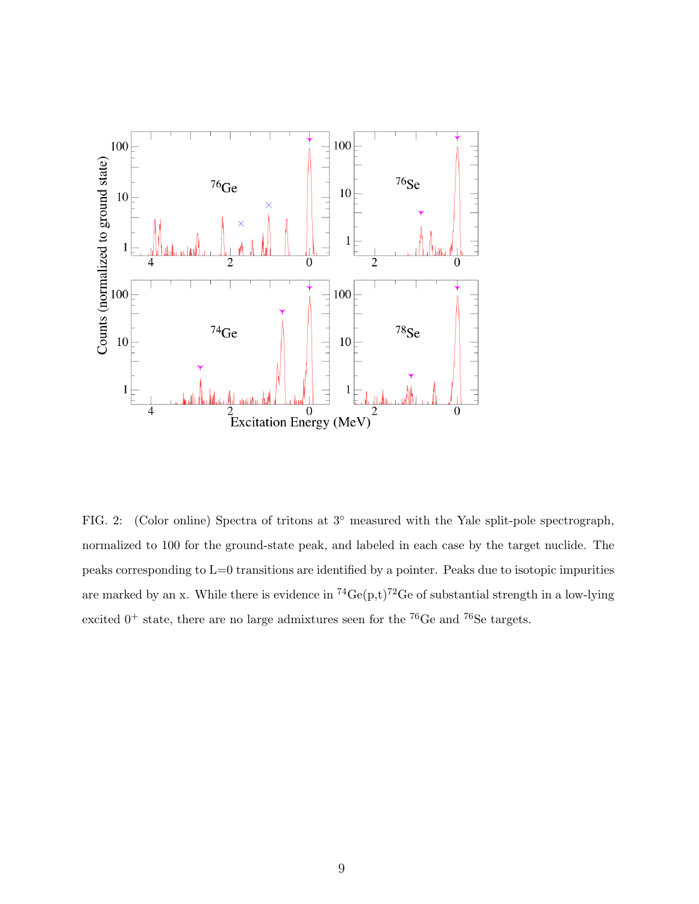

<span id="page-10-0"></span>FIG. 2: (Color online) Spectra of tritons at 3<sup>°</sup> measured with the Yale split-pole spectrograph, normalized to 100 for the ground-state peak, and labeled in each case by the target nuclide. The peaks corresponding to L=0 transitions are identified by a pointer. Peaks due to isotopic impurities are marked by an x. While there is evidence in  ${}^{74}Ge(p,t)_{}^{72}Ge$  of substantial strength in a low-lying excited  $0^+$  state, there are no large admixtures seen for the <sup>76</sup>Ge and <sup>76</sup>Se targets.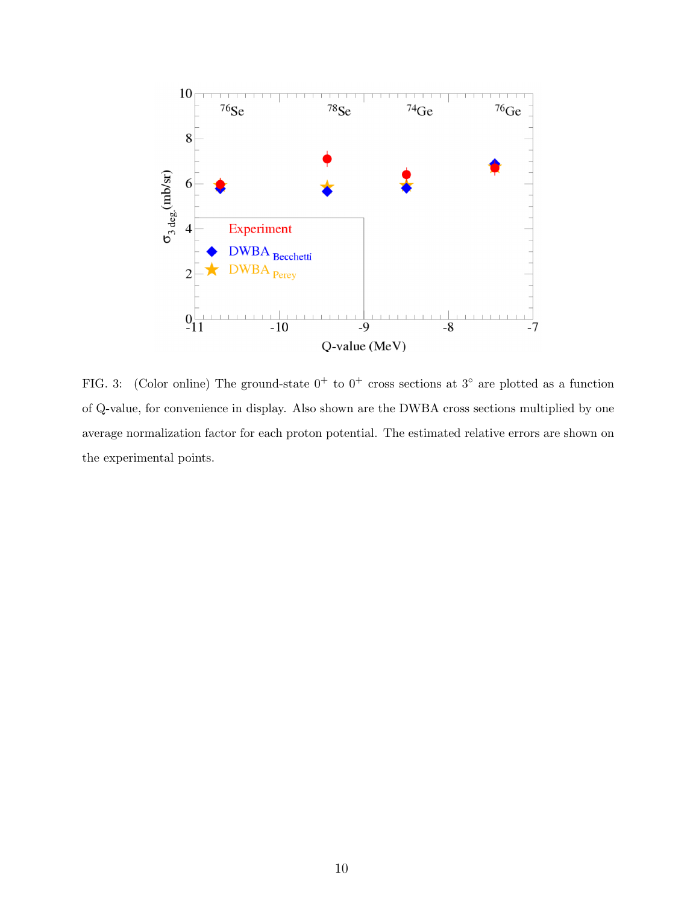

<span id="page-11-0"></span>FIG. 3: (Color online) The ground-state  $0^+$  to  $0^+$  cross sections at  $3^\circ$  are plotted as a function of Q-value, for convenience in display. Also shown are the DWBA cross sections multiplied by one average normalization factor for each proton potential. The estimated relative errors are shown on the experimental points.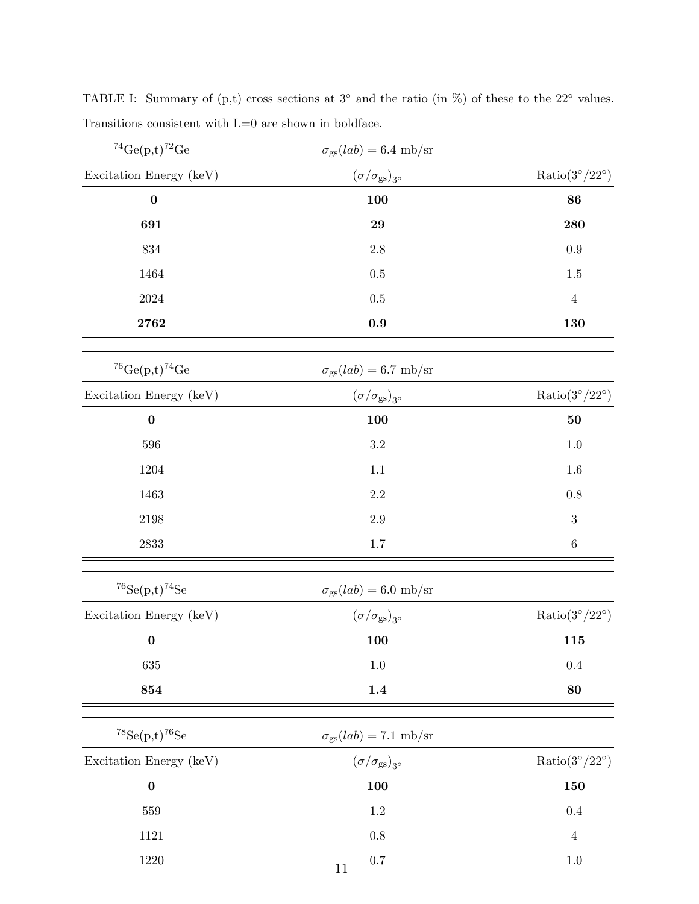| ${}^{74}Ge(p,t){}^{72}Ge$                        | $\sigma_{\rm gs}(lab) = 6.4 \text{ mb/sr}$ |                               |  |
|--------------------------------------------------|--------------------------------------------|-------------------------------|--|
| Excitation Energy (keV)                          | $(\sigma/\sigma_{\rm gs})_{3^\circ}$       | $Ratio(3^{\circ}/22^{\circ})$ |  |
| $\bf{0}$                                         | 100                                        | 86                            |  |
| 691                                              | 29                                         | 280                           |  |
| $834\,$                                          | $2.8\,$                                    | $\rm 0.9$                     |  |
| 1464                                             | $0.5\,$                                    | $1.5\,$                       |  |
| 2024                                             | $0.5\,$                                    | $\overline{4}$                |  |
| 2762                                             | $\boldsymbol{0.9}$                         | 130                           |  |
| $^{76}Ge(p,t)^{74}Ge$                            | $\sigma_{\rm gs}(lab) = 6.7 \text{ mb/sr}$ |                               |  |
| Excitation Energy (keV)                          | $(\sigma/\sigma_{\rm gs})_{3^\circ}$       | $Ratio(3^{\circ}/22^{\circ})$ |  |
| $\bf{0}$                                         | 100                                        | 50                            |  |
| 596                                              | $\!3.2\!$                                  | $1.0\,$                       |  |
| 1204                                             | 1.1                                        | 1.6                           |  |
| 1463                                             | $2.2\,$                                    | $0.8\,$                       |  |
| $\boldsymbol{2198}$                              | $2.9\,$                                    | $\sqrt{3}$                    |  |
| 2833                                             | $1.7\,$                                    | $\,6\,$                       |  |
| $^{76}\mathrm{Se}(\mathrm{p,t})^{74}\mathrm{Se}$ | $\sigma_{\rm gs}(lab) = 6.0 \text{ mb/sr}$ |                               |  |
| Excitation Energy (keV)                          | $(\sigma/\sigma_{\rm gs})_{3^\circ}$       | $Ratio(3^{\circ}/22^{\circ})$ |  |
| $\bf{0}$                                         | <b>100</b>                                 | 115                           |  |
| 635                                              | $1.0\,$                                    | $0.4\,$                       |  |
| 854                                              | $1.4\,$                                    | 80                            |  |
| $^{78}Se(p,t)_{{}^{76}Se}$                       | $\sigma_{\rm gs}(lab) = 7.1 \text{ mb/sr}$ |                               |  |
| Excitation Energy (keV)                          | $(\sigma/\sigma_{\rm gs})_{3^\circ}$       | $Ratio(3^{\circ}/22^{\circ})$ |  |
| $\bf{0}$                                         | 100                                        | 150                           |  |
| 559                                              | $1.2\,$                                    | $0.4\,$                       |  |
| 1121                                             | $0.8\,$                                    | $\,4\,$                       |  |
| 1220                                             | $0.7\,$<br>11                              | $1.0\,$                       |  |

<span id="page-12-0"></span>TABLE I: Summary of  $(p,t)$  cross sections at  $3°$  and the ratio (in %) of these to the  $22°$  values. Transitions consistent with L=0 are shown in boldface.